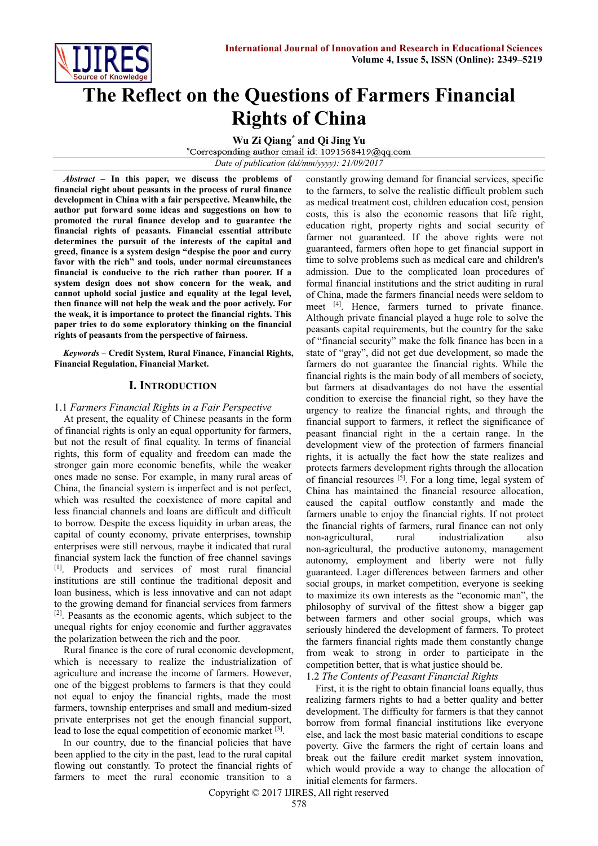

# **The Reflect on the Questions of Farmers Financial Rights of China**

**Wu Zi Qiang\* and Qi Jing Yu**

\*Corresponding author email id: 1091568419@qq.com

*Date of publication (dd/mm/yyyy): 21/09/2017*

*Abstract* **– In this paper, we discuss the problems of financial right about peasants in the process of rural finance development in China with a fair perspective. Meanwhile, the author put forward some ideas and suggestions on how to promoted the rural finance develop and to guarantee the financial rights of peasants. Financial essential attribute determines the pursuit of the interests of the capital and greed, finance is a system design "[despise the poor and curry](file:///D:/æéè¯å¸/Dict/7.2.0.0703/resultui/dict/javascript:;)  [favor with the rich](file:///D:/æéè¯å¸/Dict/7.2.0.0703/resultui/dict/javascript:;)" and tools, under normal circumstances financial is conducive to the rich rather than poorer. If a system design does not show concern for the weak, and cannot uphold social justice and equality at the legal level, then finance will not help the weak and the poor actively. For the weak, it is importance to protect the financial rights. This paper tries to do some exploratory thinking on the financial rights of peasants from the perspective of fairness.**

*Keywords* **– Credit System, Rural Finance, Financial Rights, [Financial](file:///D:/æéè¯å¸/Dict/7.2.0.0703/resultui/dict/?keyword=financial) [Regulation,](file:///D:/æéè¯å¸/Dict/7.2.0.0703/resultui/dict/?keyword=regulation) [Financial](file:///D:/æéè¯å¸/Dict/7.2.0.0703/resultui/dict/?keyword=financial) Market.**

# **I. INTRODUCTION**

### 1.1 *Farmers Financial Rights in a Fair Perspective*

At present, the equality of Chinese peasants in the form of financial rights is only an equal opportunity for farmers, but not the result of final equality. In terms of financial rights, this form of equality and freedom can made the stronger gain more economic benefits, while the weaker ones made no sense. For example, in many rural areas of China, the financial system is imperfect and is not perfect, which was resulted the coexistence of more capital and less financial channels and loans are difficult and difficult to borrow. Despite the excess liquidity in urban areas, the capital of county economy, private enterprises, township enterprises were still nervous, maybe it indicated that rural financial system lack the function of free channel savings [1]. Products and services of most rural financial institutions are still continue the traditional deposit and loan business, which is less innovative and can not adapt to the growing demand for financial services from farmers [2]. Peasants as the economic agents, which subject to the unequal rights for enjoy economic and further aggravates the polarization between the rich and the poor.

Rural finance is the core of rural economic development, which is necessary to realize the industrialization of agriculture and increase the income of farmers. However, one of the biggest problems to farmers is that they could not equal to enjoy the financial rights, made the most farmers, township enterprises and small and medium-sized private enterprises not get the enough financial support, lead to lose the equal competition of economic market [3].

In our country, due to the financial policies that have been applied to the city in the past, lead to the rural capital flowing out [constantl](file:///D:/æéè¯å¸/Dict/7.2.0.0703/resultui/dict/javascript:;)y. To protect the financial rights of farmers to meet the rural economic transition to a constantly growing demand for financial services, specific to the farmers, to solve the realistic difficult problem such as medical treatment cost, children education cost, pension costs, this is also the economic reasons that life right, education right, property rights and social security of farmer not guaranteed. If the above rights were not guaranteed, farmers often hope to get financial support in time to solve problems such as medical care and children's admission. Due to the complicated loan procedures of formal financial institutions and the strict auditing in rural of China, made the farmers financial needs were seldom to meet [4]. Hence, farmers turned to private finance. Although private financial played a huge role to solve the peasants capital requirements, but the country for the sake of "financial security" make the folk finance has been in a state of "gray", did not get due development, so made the farmers do not guarantee the financial rights. While the financial rights is the main body of all members of society, but farmers at disadvantages do not have the essential condition to exercise the financial right, so they have the urgency to realize the financial rights, and through the financial support to farmers, it reflect the significance of peasant financial right in the a certain range. In the development view of the protection of farmers financial rights, it is actually the fact how the state realizes and protects farmers development rights through the allocation of financial resources [5]. For a long time, legal system of China has maintained the financial resource allocation, caused the capital outflow constantly and made the farmers unable to enjoy the financial rights. If not protect the financial rights of farmers, rural finance can not only non-agricultural, rural industrialization also non-agricultural, the productive autonomy, management autonomy, employment and liberty were not fully guaranteed. Lager differences between farmers and other social groups, in market competition, everyone is seeking to maximize its own interests as the "economic man", the philosophy of survival of the fittest show a bigger gap between farmers and other social groups, which was seriously hindered the development of farmers. To protect the farmers financial rights made them constantly change from weak to strong in order to participate in the competition better, that is what justice should be.

1.2 *The Contents of Peasant Financial Rights*

First, it is the right to obtain financial loans equally, thus realizing farmers rights to had a better quality and better development. The difficulty for farmers is that they cannot borrow from formal financial institutions like everyone else, and lack the most basic material conditions to escape poverty. Give the farmers the right of certain loans and break out the failure credit market system innovation, which would provide a way to change the allocation of initial elements for farmers.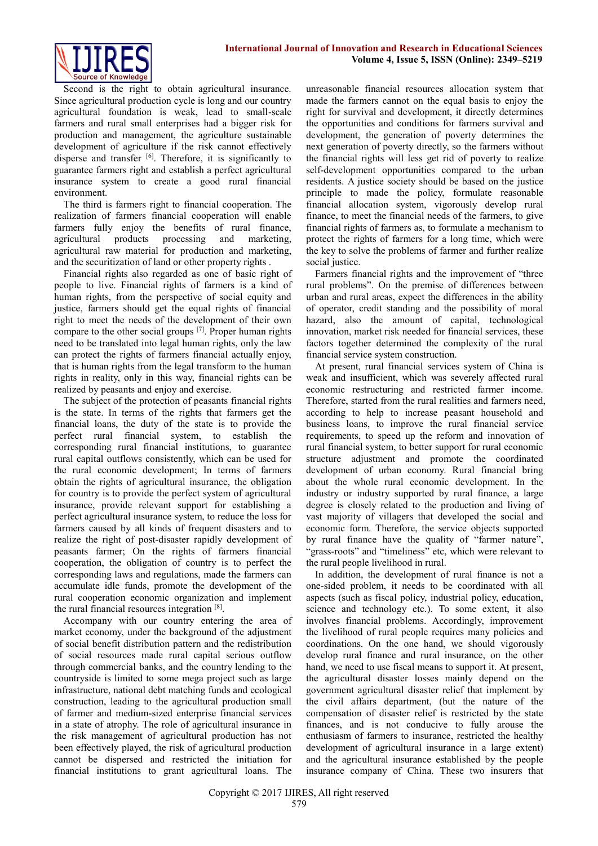Second is the right to obtain agricultural insurance. Since agricultural production cycle is long and our country agricultural foundation is weak, lead to small-scale farmers and rural small enterprises had a bigger risk for production and management, the agriculture sustainable development of agriculture if the risk cannot effectively disperse and transfer [6]. Therefore, it is significantly to guarantee farmers right and establish a perfect agricultural insurance system to create a good rural financial environment.

The third is farmers right to financial cooperation. The realization of farmers financial cooperation will enable farmers fully enjoy the benefits of rural finance, agricultural products processing and marketing, agricultural [raw material for production](file:///D:/æéè¯å¸/Dict/7.2.0.0703/resultui/dict/javascript:;) and marketing, and the securitization of land or other property rights .

Financial rights also regarded as one of basic right of people to live. Financial rights of farmers is a kind of human rights, from the perspective of social equity and justice, farmers should get the equal rights of financial right to meet the needs of the development of their own compare to the other social groups [7]. Proper human rights need to be translated into legal human rights, only the law can protect the rights of farmers financial actually enjoy, that is human rights from the legal transform to the human rights in reality, only in this way, financial rights can be realized by peasants and enjoy and exercise.

The subject of the protection of peasants financial rights is the state. In terms of the rights that farmers get the financial loans, the duty of the state is to provide the perfect rural financial system, to establish the corresponding rural financial institutions, to guarantee rural capital outflows consistently, which can be used for the rural economic development; In terms of farmers obtain the rights of agricultural insurance, the obligation for country is to provide the perfect system of agricultural insurance, provide relevant support for establishing a perfect agricultural insurance system, to reduce the loss for farmers caused by all kinds of frequent disasters and to realize the right of post-disaster rapidly development of peasants farmer; On the rights of farmers financial cooperation, the obligation of country is to perfect the corresponding laws and regulations, made the farmers can accumulate idle funds, promote the development of the rural cooperation economic organization and implement the rural financial resources integration [8].

Accompany with our country entering the area of market economy, under the background of the adjustment of social benefit distribution pattern and the redistribution of social resources made rural capital serious outflow through commercial banks, and the country lending to the countryside is limited to some mega project such as large infrastructure, national debt matching funds and ecological construction, leading to the agricultural production small of farmer and medium-sized enterprise financial services in a state of atrophy. The role of agricultural insurance in the risk management of agricultural production has not been effectively played, the risk of agricultural production cannot be dispersed and restricted the initiation for financial institutions to grant agricultural loans. The

unreasonable financial resources allocation system that made the farmers cannot on the equal basis to enjoy the right for survival and development, it directly determines the opportunities and conditions for farmers survival and development, the generation of poverty determines the next generation of poverty directly, so the farmers without the financial rights will less get rid of poverty to realize self-development opportunities compared to the urban residents. A justice society should be based on the justice principle to made the policy, formulate reasonable financial allocation system, vigorously develop rural finance, to meet the financial needs of the farmers, to give financial rights of farmers as, to formulate a mechanism to protect the rights of farmers for a long time, which were the key to solve the problems of farmer and further realize social justice.

Farmers financial rights and the improvement of "three rural problems". On the premise of differences between urban and rural areas, expect the differences in the ability of operator, credit standing and the possibility of moral hazard, also the amount of capital, technological innovation, market risk needed for financial services, these factors together determined the complexity of the rural financial service system construction.

At present, rural financial services system of China is weak and insufficient, which was severely affected rural economic restructuring and restricted farmer income. Therefore, started from the rural realities and farmers need, according to help to increase peasant household and business loans, to improve the rural financial service requirements, to speed up the reform and innovation of rural financial system, to better support for rural economic structure adjustment and promote the coordinated development of urban economy. Rural financial bring about the whole rural economic development. In the industry or industry supported by rural finance, a large degree is closely related to the production and living of vast majority of villagers that developed the social and economic form. Therefore, the service objects supported by rural finance have the quality of "farmer nature", "grass-roots" and "timeliness" etc, which were relevant to the rural people livelihood in rural.

In addition, the development of rural finance is not a one-sided problem, it needs to be coordinated with all aspects (such as fiscal policy, industrial policy, education, science and technology etc.). To some extent, it also involves financial problems. Accordingly, improvement the livelihood of rural people requires many policies and coordinations. On the one hand, we should vigorously develop rural finance and rural insurance, on the other hand, we need to use fiscal means to support it. At present, the agricultural disaster losses mainly depend on the government agricultural disaster relief that implement by the civil affairs department, (but the nature of the compensation of disaster relief is restricted by the state finances, and is not conducive to fully arouse the enthusiasm of farmers to insurance, restricted the healthy development of agricultural insurance in a large extent) and the agricultural insurance established by the people insurance company of China. These two insurers that